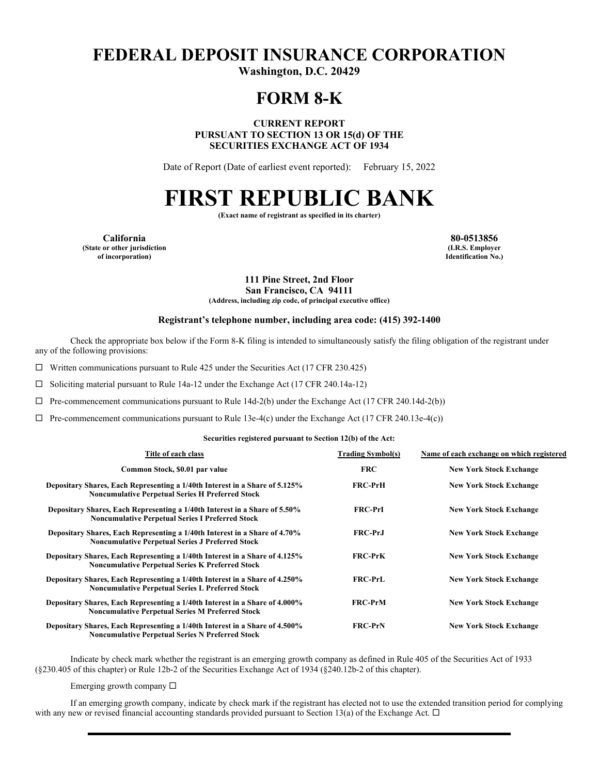# **FEDERAL DEPOSIT INSURANCE CORPORATION**

**Washington, D.C. 20429** 

## **FORM 8-K**

**CURRENT REPORT PURSUANT TO SECTION 13 OR 15(d) OF THE SECURITIES EXCHANGE ACT OF 1934** 

Date of Report (Date of earliest event reported): February 15, 2022

# **FIRST REPUBLIC BANK**

**(Exact name of registrant as specified in its charter)** 

**California 80-0513856 (State or other jurisdiction of incorporation)**

**(I.R.S. Employer Identification No.)**

**111 Pine Street, 2nd Floor San Francisco, CA 94111**

**(Address, including zip code, of principal executive office)** 

#### **Registrant's telephone number, including area code: (415) 392-1400**

Check the appropriate box below if the Form 8-K filing is intended to simultaneously satisfy the filing obligation of the registrant under any of the following provisions:

 $\Box$  Written communications pursuant to Rule 425 under the Securities Act (17 CFR 230.425)

 $\Box$  Soliciting material pursuant to Rule 14a-12 under the Exchange Act (17 CFR 240.14a-12)

 $\Box$  Pre-commencement communications pursuant to Rule 14d-2(b) under the Exchange Act (17 CFR 240.14d-2(b))

 $\Box$  Pre-commencement communications pursuant to Rule 13e-4(c) under the Exchange Act (17 CFR 240.13e-4(c))

#### **Securities registered pursuant to Section 12(b) of the Act:**

| Title of each class                                                                                                                    | <b>Trading Symbol(s)</b> | Name of each exchange on which registered |
|----------------------------------------------------------------------------------------------------------------------------------------|--------------------------|-------------------------------------------|
| Common Stock, \$0.01 par value                                                                                                         | <b>FRC</b>               | <b>New York Stock Exchange</b>            |
| Depositary Shares, Each Representing a 1/40th Interest in a Share of 5.125%<br><b>Noncumulative Perpetual Series H Preferred Stock</b> | <b>FRC-PrH</b>           | <b>New York Stock Exchange</b>            |
| Depositary Shares, Each Representing a 1/40th Interest in a Share of 5.50%<br><b>Noncumulative Perpetual Series I Preferred Stock</b>  | <b>FRC-PrI</b>           | <b>New York Stock Exchange</b>            |
| Depositary Shares, Each Representing a 1/40th Interest in a Share of 4.70%<br><b>Noncumulative Perpetual Series J Preferred Stock</b>  | <b>FRC-PrJ</b>           | <b>New York Stock Exchange</b>            |
| Depositary Shares, Each Representing a 1/40th Interest in a Share of 4.125%<br><b>Noncumulative Perpetual Series K Preferred Stock</b> | <b>FRC-PrK</b>           | <b>New York Stock Exchange</b>            |
| Depositary Shares, Each Representing a 1/40th Interest in a Share of 4.250%<br><b>Noncumulative Perpetual Series L Preferred Stock</b> | <b>FRC-PrL</b>           | <b>New York Stock Exchange</b>            |
| Depositary Shares, Each Representing a 1/40th Interest in a Share of 4.000%<br><b>Noncumulative Perpetual Series M Preferred Stock</b> | <b>FRC-PrM</b>           | <b>New York Stock Exchange</b>            |
| Depositary Shares, Each Representing a 1/40th Interest in a Share of 4.500%<br><b>Noncumulative Perpetual Series N Preferred Stock</b> | <b>FRC-PrN</b>           | <b>New York Stock Exchange</b>            |

Indicate by check mark whether the registrant is an emerging growth company as defined in Rule 405 of the Securities Act of 1933 (§230.405 of this chapter) or Rule 12b-2 of the Securities Exchange Act of 1934 (§240.12b-2 of this chapter).

Emerging growth company  $\Box$ 

If an emerging growth company, indicate by check mark if the registrant has elected not to use the extended transition period for complying with any new or revised financial accounting standards provided pursuant to Section 13(a) of the Exchange Act.  $\Box$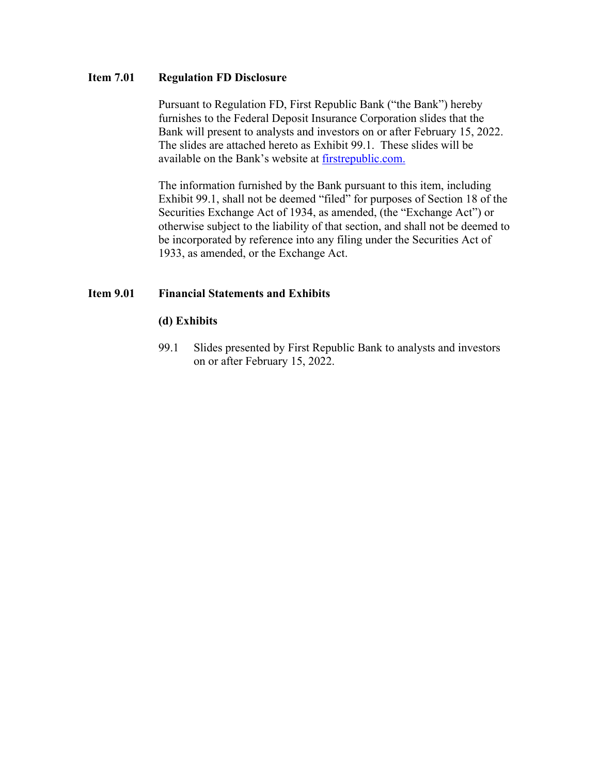## **Item 7.01 Regulation FD Disclosure**

Pursuant to Regulation FD, First Republic Bank ("the Bank") hereby furnishes to the Federal Deposit Insurance Corporation slides that the Bank will present to analysts and investors on or after February 15, 2022. The slides are attached hereto as Exhibit 99.1. These slides will be available on the Bank's website at [firstrepublic.com.](http://www.firstrepublic.com/)

The information furnished by the Bank pursuant to this item, including Exhibit 99.1, shall not be deemed "filed" for purposes of Section 18 of the Securities Exchange Act of 1934, as amended, (the "Exchange Act") or otherwise subject to the liability of that section, and shall not be deemed to be incorporated by reference into any filing under the Securities Act of 1933, as amended, or the Exchange Act.

## **Item 9.01 Financial Statements and Exhibits**

### **(d) Exhibits**

99.1 Slides presented by First Republic Bank to analysts and investors on or after February 15, 2022.